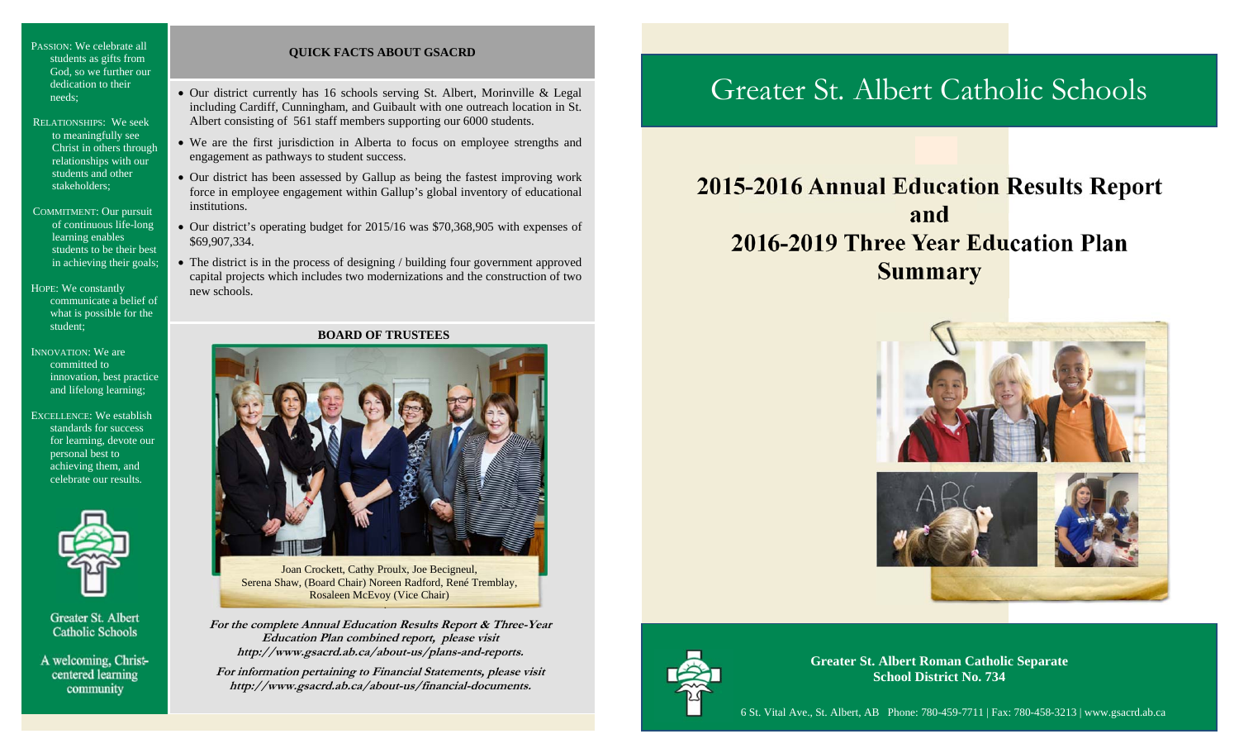PASSION: We celebrate all students as gifts from God, so we further our dedication to their needs;

- RELATIONSHIPS: We seek to meaningfully see Christ in others through relationships with our students and other stakeholders;
- COMMITMENT: Our pursuit of continuous life-long learning enables students to be their best in achieving their goals;

HOPE: We constantly communicate a belief of what is possible for the student;

- INNOVATION: We are committed to innovation, best practice and lifelong learning;
- EXCELLENCE: We establish standards for success for learning, devote our personal best to achieving them, and celebrate our results.



Greater St. Albert **Catholic Schools** 

A welcoming, Christcentered learning community

## **QUICK FACTS ABOUT GSACRD**

- Our district currently has 16 schools serving St. Albert, Morinville & Legal including Cardiff, Cunningham, and Guibault with one outreach location in St. Albert consisting of 561 staff members supporting our 6000 students.
- We are the first jurisdiction in Alberta to focus on employee strengths and engagement as pathways to student success.
- Our district has been assessed by Gallup as being the fastest improving work force in employee engagement within Gallup's global inventory of educational institutions.
- Our district's operating budget for 2015/16 was \$70,368,905 with expenses of \$69,907,334.
- The district is in the process of designing / building four government approved capital projects which includes two modernizations and the construction of two new schools.

## **BOARD OF TRUSTEES**



**\**  Joan Crockett, Cathy Proulx, Joe Becigneul, Serena Shaw, (Board Chair) Noreen Radford, René Tremblay, Rosaleen McEvoy (Vice Chair)

**For the complete Annual Education Results Report & Three-Year Education Plan combined report, please visit http://www.gsacrd.ab.ca/about-us/plans-and-reports.** 

**For information pertaining to Financial Statements, please visit http://www.gsacrd.ab.ca/about-us/financial-documents.**

# Greater St. Albert Catholic Schools

# **2015-2016 Annual Education Results Report and2016-2019 Three Year Education PlanSummary**





**Greater St. Albert Roman Catholic Separate School District No. 734**